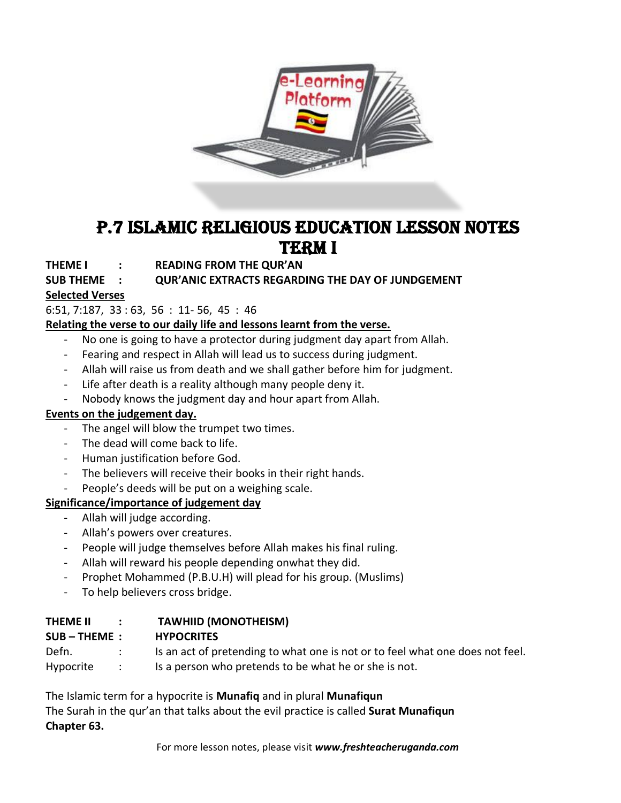

## P.7 ISLAMIC Religious education lesson notes **TERM I**

**THEME I : READING FROM THE QUR'AN**

#### **SUB THEME : QUR'ANIC EXTRACTS REGARDING THE DAY OF JUNDGEMENT**

## **Selected Verses**

6:51, 7:187, 33 : 63, 56 : 11- 56, 45 : 46

**Relating the verse to our daily life and lessons learnt from the verse.**

- No one is going to have a protector during judgment day apart from Allah.
- Fearing and respect in Allah will lead us to success during judgment.
- Allah will raise us from death and we shall gather before him for judgment.
- Life after death is a reality although many people deny it.
- Nobody knows the judgment day and hour apart from Allah.

#### **Events on the judgement day.**

- The angel will blow the trumpet two times.
- The dead will come back to life.
- Human justification before God.
- The believers will receive their books in their right hands.
- People's deeds will be put on a weighing scale.

#### **Significance/importance of judgement day**

- Allah will judge according.
- Allah's powers over creatures.
- People will judge themselves before Allah makes his final ruling.
- Allah will reward his people depending onwhat they did.
- Prophet Mohammed (P.B.U.H) will plead for his group. (Muslims)
- To help believers cross bridge.

| <b>THEME II</b> | $\sim$ 100 $\sim$ | <b>TAWHIID (MONOTHEISM)</b>                                                   |
|-----------------|-------------------|-------------------------------------------------------------------------------|
| $SUB - THEME:$  |                   | <b>HYPOCRITES</b>                                                             |
| Defn.           |                   | Is an act of pretending to what one is not or to feel what one does not feel. |
| Hypocrite       | $\sim$ $\sim$     | Is a person who pretends to be what he or she is not.                         |

The Islamic term for a hypocrite is **Munafiq** and in plural **Munafiqun** The Surah in the qur'an that talks about the evil practice is called **Surat Munafiqun Chapter 63.**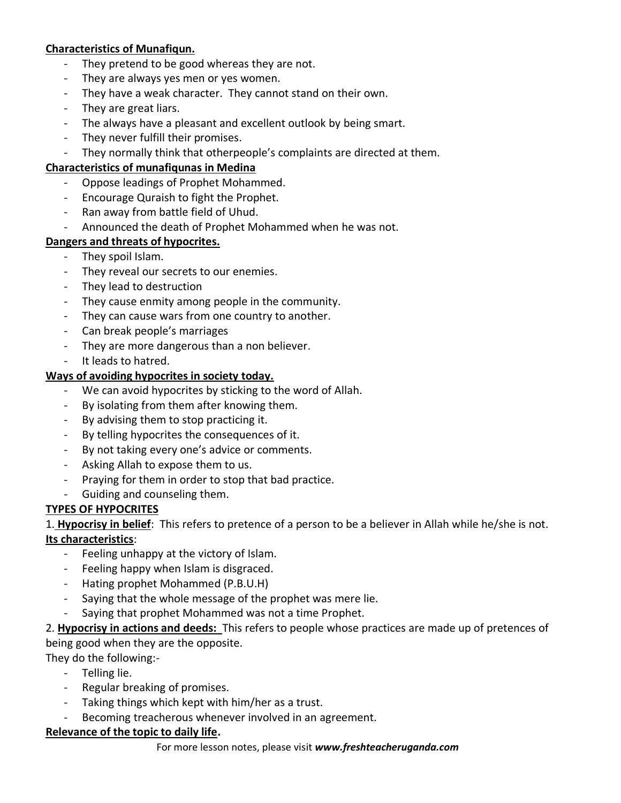#### **Characteristics of Munafiqun.**

- They pretend to be good whereas they are not.
- They are always yes men or yes women.
- They have a weak character. They cannot stand on their own.
- They are great liars.
- The always have a pleasant and excellent outlook by being smart.
- They never fulfill their promises.
- They normally think that otherpeople's complaints are directed at them.

#### **Characteristics of munafiqunas in Medina**

- Oppose leadings of Prophet Mohammed.
- Encourage Quraish to fight the Prophet.
- Ran away from battle field of Uhud.
- Announced the death of Prophet Mohammed when he was not.

#### **Dangers and threats of hypocrites.**

- They spoil Islam.
- They reveal our secrets to our enemies.
- They lead to destruction
- They cause enmity among people in the community.
- They can cause wars from one country to another.
- Can break people's marriages
- They are more dangerous than a non believer.
- It leads to hatred.

#### **Ways of avoiding hypocrites in society today.**

- We can avoid hypocrites by sticking to the word of Allah.
- By isolating from them after knowing them.
- By advising them to stop practicing it.
- By telling hypocrites the consequences of it.
- By not taking every one's advice or comments.
- Asking Allah to expose them to us.
- Praying for them in order to stop that bad practice.
- Guiding and counseling them.

#### **TYPES OF HYPOCRITES**

1. **Hypocrisy in belief**: This refers to pretence of a person to be a believer in Allah while he/she is not. **Its characteristics**:

- Feeling unhappy at the victory of Islam.
- Feeling happy when Islam is disgraced.
- Hating prophet Mohammed (P.B.U.H)
- Saying that the whole message of the prophet was mere lie.
- Saying that prophet Mohammed was not a time Prophet.

## 2. **Hypocrisy in actions and deeds:** This refers to people whose practices are made up of pretences of being good when they are the opposite.

They do the following:-

- Telling lie.
- Regular breaking of promises.
- Taking things which kept with him/her as a trust.
- Becoming treacherous whenever involved in an agreement.

#### **Relevance of the topic to daily life.**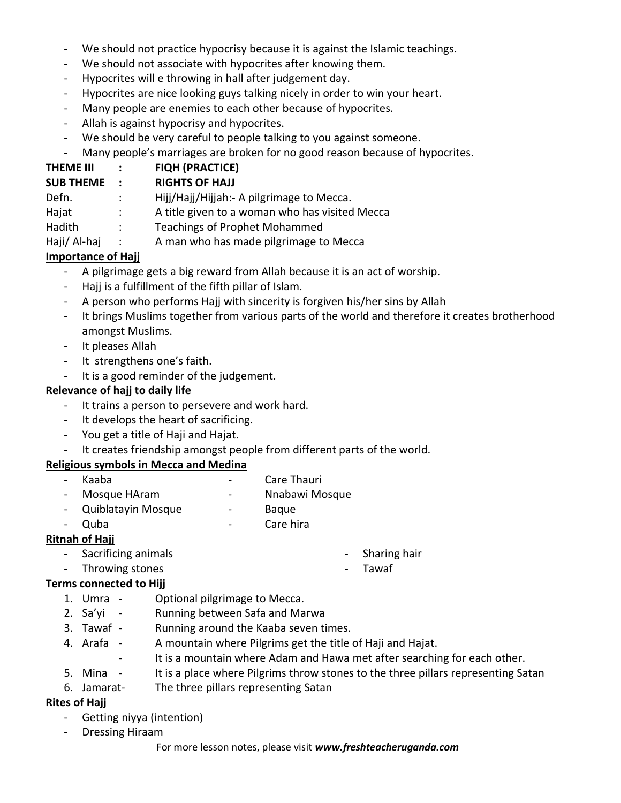- We should not practice hypocrisy because it is against the Islamic teachings.
- We should not associate with hypocrites after knowing them.
- Hypocrites will e throwing in hall after judgement day.
- Hypocrites are nice looking guys talking nicely in order to win your heart.
- Many people are enemies to each other because of hypocrites.
- Allah is against hypocrisy and hypocrites.
- We should be very careful to people talking to you against someone.
- Many people's marriages are broken for no good reason because of hypocrites.

## **THEME III : FIQH (PRACTICE)**

## **SUB THEME : RIGHTS OF HAJJ**

- Defn. : Hijj/Hajj/Hijjah:- A pilgrimage to Mecca.
- Hajat : A title given to a woman who has visited Mecca
- Hadith : Teachings of Prophet Mohammed
- Haji/ Al-haj : A man who has made pilgrimage to Mecca

## **Importance of Hajj**

- A pilgrimage gets a big reward from Allah because it is an act of worship.
- Hajj is a fulfillment of the fifth pillar of Islam.
- A person who performs Hajj with sincerity is forgiven his/her sins by Allah
- It brings Muslims together from various parts of the world and therefore it creates brotherhood amongst Muslims.
- It pleases Allah
- It strengthens one's faith.
- It is a good reminder of the judgement.

## **Relevance of hajj to daily life**

- It trains a person to persevere and work hard.
- It develops the heart of sacrificing.
- You get a title of Haji and Hajat.
- It creates friendship amongst people from different parts of the world.

## **Religious symbols in Mecca and Medina**

- Kaaba Care Thauri
- Mosque HAram Theory Nicola Mosque
- Quiblatayin Mosque Baque
- Quba Care hira

## **Ritnah of Hajj**

- Sacrificing animals
- Throwing stones

## **Terms connected to Hijj**

- 
- 1. Umra Optional pilgrimage to Mecca.<br>2. Sa'yi Running between Safa and Ma Running between Safa and Marwa
- 3. Tawaf Running around the Kaaba seven times.
- 4. Arafa A mountain where Pilgrims get the title of Haji and Hajat.
	- It is a mountain where Adam and Hawa met after searching for each other.
- 5. Mina It is a place where Pilgrims throw stones to the three pillars representing Satan
- 6. Jamarat- The three pillars representing Satan

## **Rites of Hajj**

- Getting niyya (intention)
- Dressing Hiraam

- Sharing hair
- Tawaf
- 
-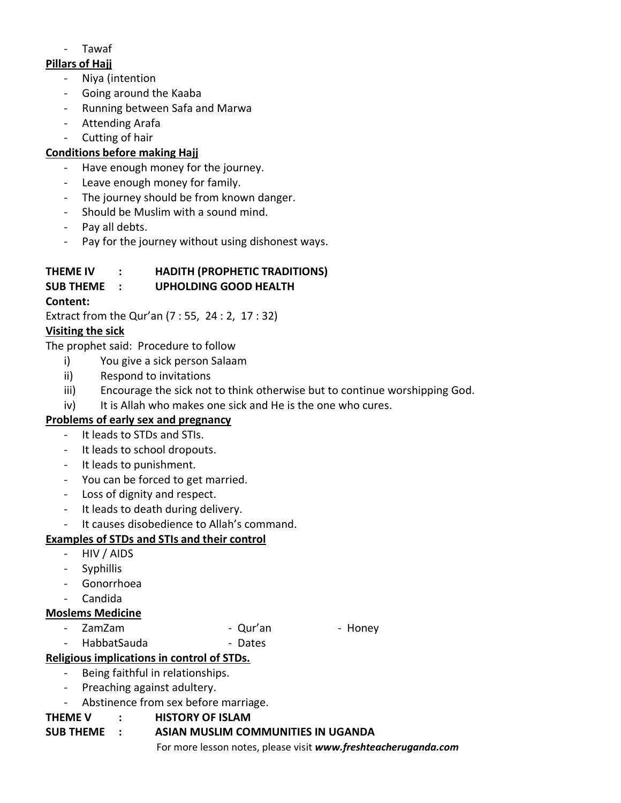- Tawaf

## **Pillars of Hajj**

- Niya (intention
- Going around the Kaaba
- Running between Safa and Marwa
- Attending Arafa
- Cutting of hair

## **Conditions before making Hajj**

- Have enough money for the journey.
- Leave enough money for family.
- The journey should be from known danger.
- Should be Muslim with a sound mind.
- Pay all debts.
- Pay for the journey without using dishonest ways.

## **THEME IV : HADITH (PROPHETIC TRADITIONS)**

## **SUB THEME : UPHOLDING GOOD HEALTH**

## **Content:**

Extract from the Qur'an (7 : 55, 24 : 2, 17 : 32)

## **Visiting the sick**

The prophet said: Procedure to follow

- i) You give a sick person Salaam
- ii) Respond to invitations
- iii) Encourage the sick not to think otherwise but to continue worshipping God.
- iv) It is Allah who makes one sick and He is the one who cures.

## **Problems of early sex and pregnancy**

- It leads to STDs and STIs.
- It leads to school dropouts.
- It leads to punishment.
- You can be forced to get married.
- Loss of dignity and respect.
- It leads to death during delivery.
- It causes disobedience to Allah's command.

## **Examples of STDs and STIs and their control**

- HIV / AIDS
- Syphillis
- Gonorrhoea
- Candida

#### **Moslems Medicine**

- ZamZam Cur'an Honey
	- HabbatSauda Dates

# **Religious implications in control of STDs.**

- Being faithful in relationships.
	- Preaching against adultery.
	- Abstinence from sex before marriage.

## **THEME V : HISTORY OF ISLAM**

## **SUB THEME : ASIAN MUSLIM COMMUNITIES IN UGANDA**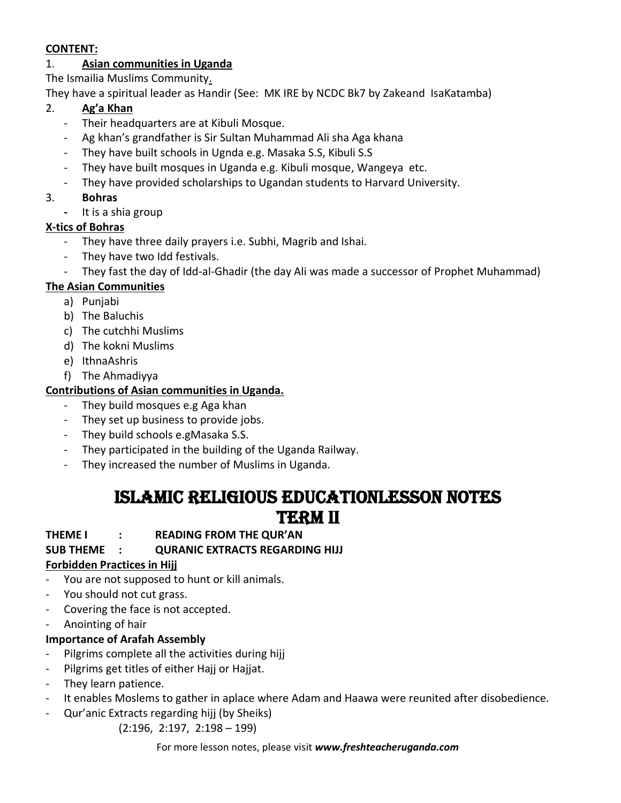#### **CONTENT:**

## 1. **Asian communities in Uganda**

The Ismailia Muslims Community.

They have a spiritual leader as Handir (See: MK IRE by NCDC Bk7 by Zakeand IsaKatamba)

## 2. **Ag'a Khan**

- Their headquarters are at Kibuli Mosque.
- Ag khan's grandfather is Sir Sultan Muhammad Ali sha Aga khana
- They have built schools in Ugnda e.g. Masaka S.S, Kibuli S.S
- They have built mosques in Uganda e.g. Kibuli mosque, Wangeya etc.
- They have provided scholarships to Ugandan students to Harvard University.

## 3. **Bohras**

**-** It is a shia group

## **X-tics of Bohras**

- They have three daily prayers i.e. Subhi, Magrib and Ishai.
- They have two Idd festivals.
- They fast the day of Idd-al-Ghadir (the day Ali was made a successor of Prophet Muhammad)

## **The Asian Communities**

- a) Punjabi
- b) The Baluchis
- c) The cutchhi Muslims
- d) The kokni Muslims
- e) IthnaAshris
- f) The Ahmadiyya

## **Contributions of Asian communities in Uganda.**

- They build mosques e.g Aga khan
- They set up business to provide jobs.
- They build schools e.gMasaka S.S.
- They participated in the building of the Uganda Railway.
- They increased the number of Muslims in Uganda.

## ISLAMIC Religious educationlesson notes **TERM II**

#### **THEME I : READING FROM THE QUR'AN**

## **SUB THEME : QURANIC EXTRACTS REGARDING HIJJ**

## **Forbidden Practices in Hijj**

- You are not supposed to hunt or kill animals.
- You should not cut grass.
- Covering the face is not accepted.
- Anointing of hair

## **Importance of Arafah Assembly**

- Pilgrims complete all the activities during hijj
- Pilgrims get titles of either Hajj or Hajjat.
- They learn patience.
- It enables Moslems to gather in aplace where Adam and Haawa were reunited after disobedience.
- Qur'anic Extracts regarding hijj (by Sheiks)

(2:196, 2:197, 2:198 – 199)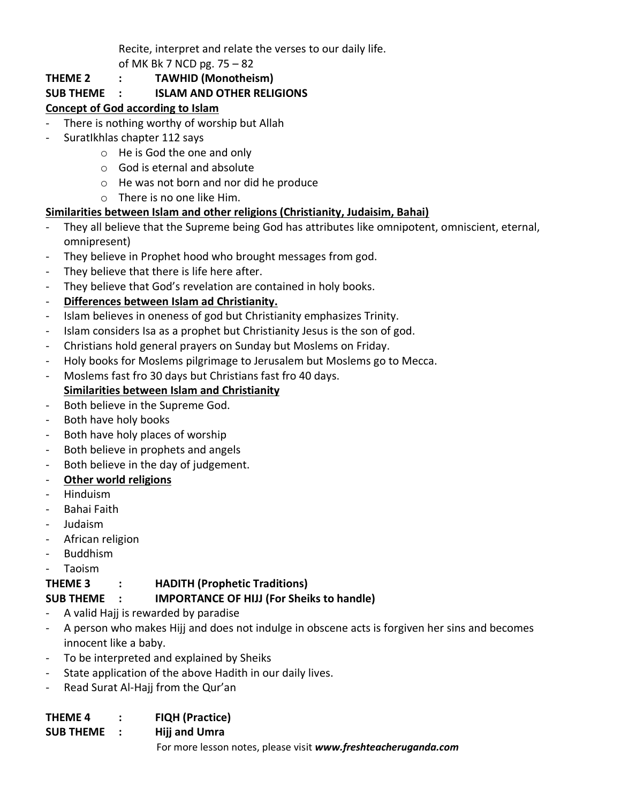Recite, interpret and relate the verses to our daily life.

of MK Bk 7 NCD pg. 75 – 82

## **THEME 2 : TAWHID (Monotheism)**

## **SUB THEME : ISLAM AND OTHER RELIGIONS**

## **Concept of God according to Islam**

- There is nothing worthy of worship but Allah
- SuratIkhlas chapter 112 says
	- o He is God the one and only
	- o God is eternal and absolute
	- o He was not born and nor did he produce
	- o There is no one like Him.

## **Similarities between Islam and other religions (Christianity, Judaisim, Bahai)**

- They all believe that the Supreme being God has attributes like omnipotent, omniscient, eternal, omnipresent)
- They believe in Prophet hood who brought messages from god.
- They believe that there is life here after.
- They believe that God's revelation are contained in holy books.

## - **Differences between Islam ad Christianity.**

- Islam believes in oneness of god but Christianity emphasizes Trinity.
- Islam considers Isa as a prophet but Christianity Jesus is the son of god.
- Christians hold general prayers on Sunday but Moslems on Friday.
- Holy books for Moslems pilgrimage to Jerusalem but Moslems go to Mecca.
- Moslems fast fro 30 days but Christians fast fro 40 days. **Similarities between Islam and Christianity**
- Both believe in the Supreme God.
- Both have holy books
- Both have holy places of worship
- Both believe in prophets and angels
- Both believe in the day of judgement.
- **Other world religions**
- Hinduism
- Bahai Faith
- Judaism
- African religion
- Buddhism
- Taoism

## **THEME 3 : HADITH (Prophetic Traditions)**

## **SUB THEME : IMPORTANCE OF HIJJ (For Sheiks to handle)**

- A valid Hajj is rewarded by paradise
- A person who makes Hijj and does not indulge in obscene acts is forgiven her sins and becomes innocent like a baby.
- To be interpreted and explained by Sheiks
- State application of the above Hadith in our daily lives.
- Read Surat Al-Hajj from the Qur'an

#### **THEME 4 : FIQH (Practice)**

For more lesson notes, please visit *www.freshteacheruganda.com* **SUB THEME : Hijj and Umra**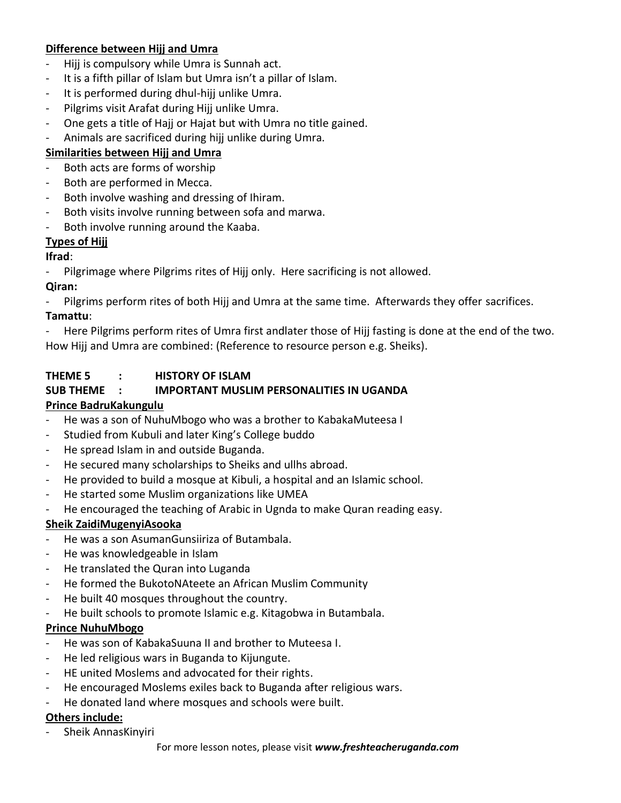## **Difference between Hijj and Umra**

- Hijj is compulsory while Umra is Sunnah act.
- It is a fifth pillar of Islam but Umra isn't a pillar of Islam.
- It is performed during dhul-hijj unlike Umra.
- Pilgrims visit Arafat during Hijj unlike Umra.
- One gets a title of Hajj or Hajat but with Umra no title gained.
- Animals are sacrificed during hijj unlike during Umra.

## **Similarities between Hijj and Umra**

- Both acts are forms of worship
- Both are performed in Mecca.
- Both involve washing and dressing of Ihiram.
- Both visits involve running between sofa and marwa.
- Both involve running around the Kaaba.

## **Types of Hijj**

## **Ifrad**:

Pilgrimage where Pilgrims rites of Hijj only. Here sacrificing is not allowed.

## **Qiran:**

Pilgrims perform rites of both Hijj and Umra at the same time. Afterwards they offer sacrifices.

## **Tamattu**:

- Here Pilgrims perform rites of Umra first andlater those of Hijj fasting is done at the end of the two. How Hijj and Umra are combined: (Reference to resource person e.g. Sheiks).

## **THEME 5 : HISTORY OF ISLAM**

## **SUB THEME : IMPORTANT MUSLIM PERSONALITIES IN UGANDA**

## **Prince BadruKakungulu**

- He was a son of NuhuMbogo who was a brother to KabakaMuteesa I
- Studied from Kubuli and later King's College buddo
- He spread Islam in and outside Buganda.
- He secured many scholarships to Sheiks and ullhs abroad.
- He provided to build a mosque at Kibuli, a hospital and an Islamic school.
- He started some Muslim organizations like UMEA
- He encouraged the teaching of Arabic in Ugnda to make Quran reading easy.

## **Sheik ZaidiMugenyiAsooka**

- He was a son AsumanGunsiiriza of Butambala.
- He was knowledgeable in Islam
- He translated the Quran into Luganda
- He formed the BukotoNAteete an African Muslim Community
- He built 40 mosques throughout the country.
- He built schools to promote Islamic e.g. Kitagobwa in Butambala.

#### **Prince NuhuMbogo**

- He was son of KabakaSuuna II and brother to Muteesa I.
- He led religious wars in Buganda to Kijungute.
- HE united Moslems and advocated for their rights.
- He encouraged Moslems exiles back to Buganda after religious wars.
- He donated land where mosques and schools were built.

#### **Others include:**

- Sheik AnnasKinyiri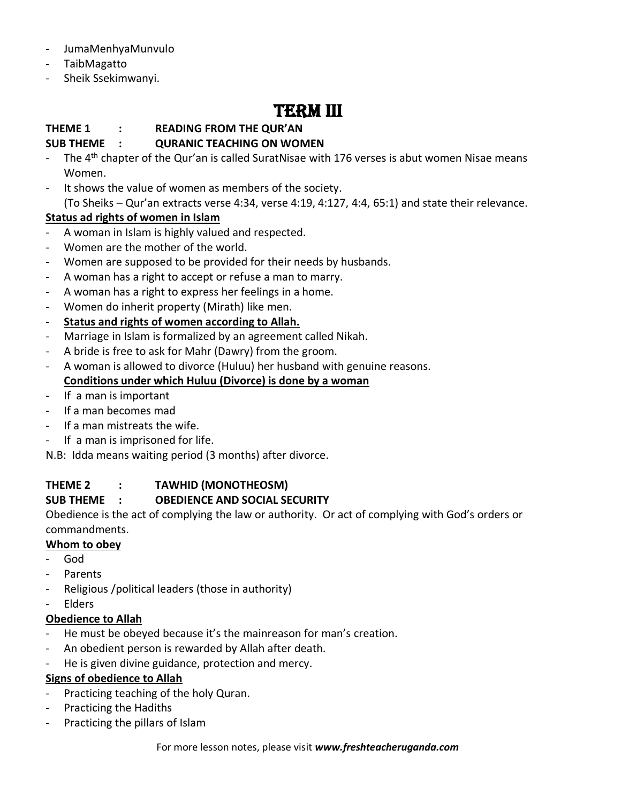- JumaMenhyaMunvulo
- TaibMagatto
- Sheik Ssekimwanyi.

# Term III

## **THEME 1 : READING FROM THE QUR'AN**

#### **SUB THEME : QURANIC TEACHING ON WOMEN**

- The  $4<sup>th</sup>$  chapter of the Qur'an is called SuratNisae with 176 verses is abut women Nisae means Women.
- It shows the value of women as members of the society.

(To Sheiks – Qur'an extracts verse 4:34, verse 4:19, 4:127, 4:4, 65:1) and state their relevance.

## **Status ad rights of women in Islam**

- A woman in Islam is highly valued and respected.
- Women are the mother of the world.
- Women are supposed to be provided for their needs by husbands.
- A woman has a right to accept or refuse a man to marry.
- A woman has a right to express her feelings in a home.
- Women do inherit property (Mirath) like men.
- **Status and rights of women according to Allah.**
- Marriage in Islam is formalized by an agreement called Nikah.
- A bride is free to ask for Mahr (Dawry) from the groom.
- A woman is allowed to divorce (Huluu) her husband with genuine reasons. **Conditions under which Huluu (Divorce) is done by a woman**
- If a man is important
- If a man becomes mad
- If a man mistreats the wife.
- If a man is imprisoned for life.

N.B: Idda means waiting period (3 months) after divorce.

## **THEME 2 : TAWHID (MONOTHEOSM)**

## **SUB THEME : OBEDIENCE AND SOCIAL SECURITY**

Obedience is the act of complying the law or authority. Or act of complying with God's orders or commandments.

## **Whom to obey**

- God
- Parents
- Religious /political leaders (those in authority)
- **Elders**

#### **Obedience to Allah**

- He must be obeyed because it's the mainreason for man's creation.
- An obedient person is rewarded by Allah after death.
- He is given divine guidance, protection and mercy.

## **Signs of obedience to Allah**

- Practicing teaching of the holy Quran.
- Practicing the Hadiths
- Practicing the pillars of Islam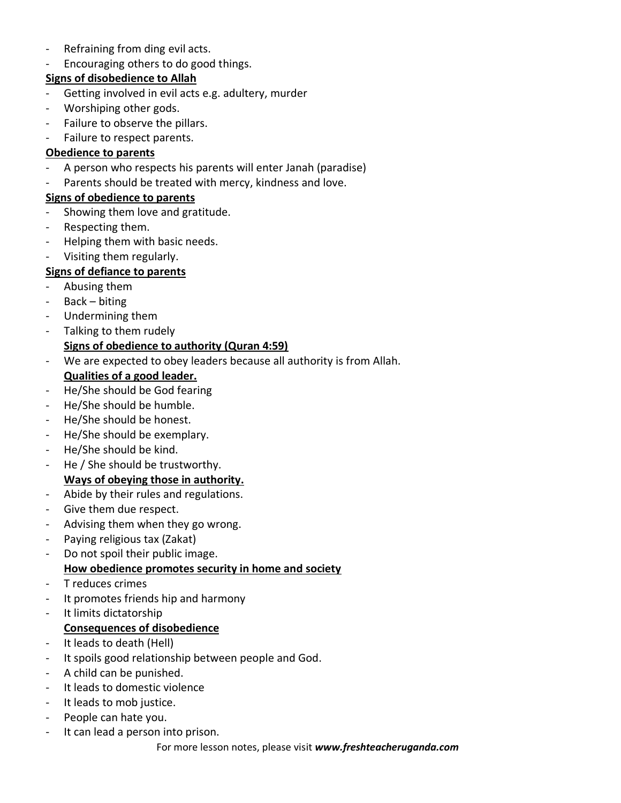- Refraining from ding evil acts.
- Encouraging others to do good things.

## **Signs of disobedience to Allah**

- Getting involved in evil acts e.g. adultery, murder
- Worshiping other gods.
- Failure to observe the pillars.
- Failure to respect parents.

## **Obedience to parents**

- A person who respects his parents will enter Janah (paradise)
- Parents should be treated with mercy, kindness and love.

## **Signs of obedience to parents**

- Showing them love and gratitude.
- Respecting them.
- Helping them with basic needs.
- Visiting them regularly.

## **Signs of defiance to parents**

- Abusing them
- Back biting
- Undermining them
- Talking to them rudely

## **Signs of obedience to authority (Quran 4:59)**

- We are expected to obey leaders because all authority is from Allah.

## **Qualities of a good leader.**

- He/She should be God fearing
- He/She should be humble.
- He/She should be honest.
- He/She should be exemplary.
- He/She should be kind.
- He / She should be trustworthy.

## **Ways of obeying those in authority.**

- Abide by their rules and regulations.
- Give them due respect.
- Advising them when they go wrong.
- Paying religious tax (Zakat)
- Do not spoil their public image. **How obedience promotes security in home and society**
- T reduces crimes
- It promotes friends hip and harmony
- It limits dictatorship

## **Consequences of disobedience**

- It leads to death (Hell)
- It spoils good relationship between people and God.
- A child can be punished.
- It leads to domestic violence
- It leads to mob justice.
- People can hate you.
- It can lead a person into prison.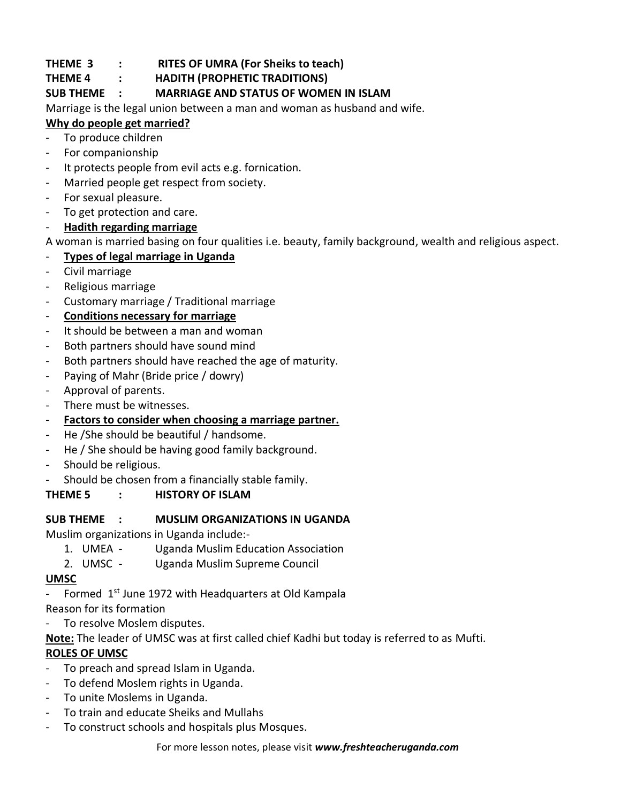## **THEME 3 : RITES OF UMRA (For Sheiks to teach)**

## **THEME 4 : HADITH (PROPHETIC TRADITIONS)**

## **SUB THEME : MARRIAGE AND STATUS OF WOMEN IN ISLAM**

Marriage is the legal union between a man and woman as husband and wife.

## **Why do people get married?**

- To produce children
- For companionship
- It protects people from evil acts e.g. fornication.
- Married people get respect from society.
- For sexual pleasure.
- To get protection and care.
- **Hadith regarding marriage**

A woman is married basing on four qualities i.e. beauty, family background, wealth and religious aspect.

- **Types of legal marriage in Uganda**
- Civil marriage
- Religious marriage
- Customary marriage / Traditional marriage

## - **Conditions necessary for marriage**

- It should be between a man and woman
- Both partners should have sound mind
- Both partners should have reached the age of maturity.
- Paying of Mahr (Bride price / dowry)
- Approval of parents.
- There must be witnesses.
- **Factors to consider when choosing a marriage partner.**
- He /She should be beautiful / handsome.
- He / She should be having good family background.
- Should be religious.
- Should be chosen from a financially stable family.

## **THEME 5 : HISTORY OF ISLAM**

#### **SUB THEME : MUSLIM ORGANIZATIONS IN UGANDA**

Muslim organizations in Uganda include:-

- 1. UMEA Uganda Muslim Education Association
- 2. UMSC Uganda Muslim Supreme Council

#### **UMSC**

- Formed  $1<sup>st</sup>$  June 1972 with Headquarters at Old Kampala

Reason for its formation

To resolve Moslem disputes.

**Note:** The leader of UMSC was at first called chief Kadhi but today is referred to as Mufti.

## **ROLES OF UMSC**

- To preach and spread Islam in Uganda.
- To defend Moslem rights in Uganda.
- To unite Moslems in Uganda.
- To train and educate Sheiks and Mullahs
- To construct schools and hospitals plus Mosques.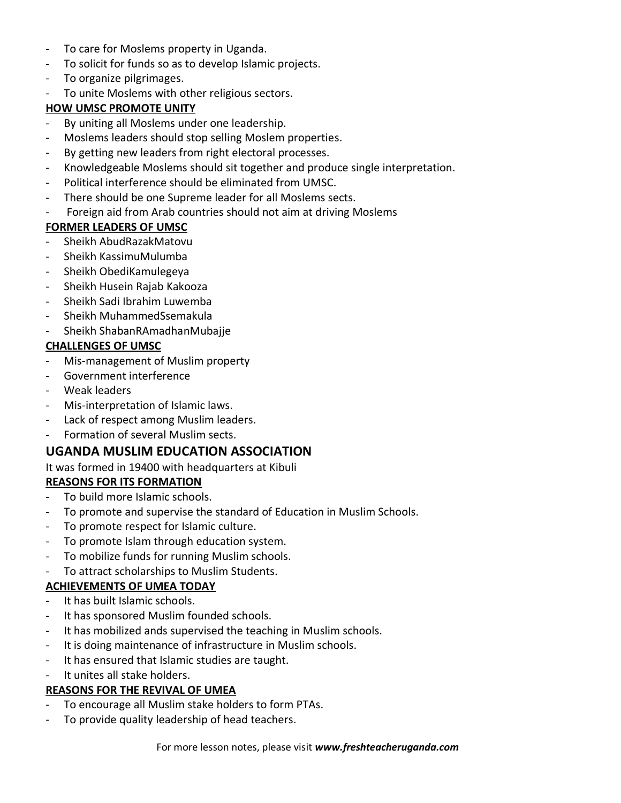- To care for Moslems property in Uganda.
- To solicit for funds so as to develop Islamic projects.
- To organize pilgrimages.
- To unite Moslems with other religious sectors.

## **HOW UMSC PROMOTE UNITY**

- By uniting all Moslems under one leadership.
- Moslems leaders should stop selling Moslem properties.
- By getting new leaders from right electoral processes.
- Knowledgeable Moslems should sit together and produce single interpretation.
- Political interference should be eliminated from UMSC.
- There should be one Supreme leader for all Moslems sects.
- Foreign aid from Arab countries should not aim at driving Moslems

## **FORMER LEADERS OF UMSC**

- Sheikh AbudRazakMatovu
- Sheikh KassimuMulumba
- Sheikh ObediKamulegeya
- Sheikh Husein Rajab Kakooza
- Sheikh Sadi Ibrahim Luwemba
- Sheikh MuhammedSsemakula
- Sheikh ShabanRAmadhanMubajje

## **CHALLENGES OF UMSC**

- Mis-management of Muslim property
- Government interference
- Weak leaders
- Mis-interpretation of Islamic laws.
- Lack of respect among Muslim leaders.
- Formation of several Muslim sects.

## **UGANDA MUSLIM EDUCATION ASSOCIATION**

#### It was formed in 19400 with headquarters at Kibuli

## **REASONS FOR ITS FORMATION**

- To build more Islamic schools.
- To promote and supervise the standard of Education in Muslim Schools.
- To promote respect for Islamic culture.
- To promote Islam through education system.
- To mobilize funds for running Muslim schools.
- To attract scholarships to Muslim Students.

## **ACHIEVEMENTS OF UMEA TODAY**

- It has built Islamic schools.
- It has sponsored Muslim founded schools.
- It has mobilized ands supervised the teaching in Muslim schools.
- It is doing maintenance of infrastructure in Muslim schools.
- It has ensured that Islamic studies are taught.
- It unites all stake holders.

## **REASONS FOR THE REVIVAL OF UMEA**

- To encourage all Muslim stake holders to form PTAs.
- To provide quality leadership of head teachers.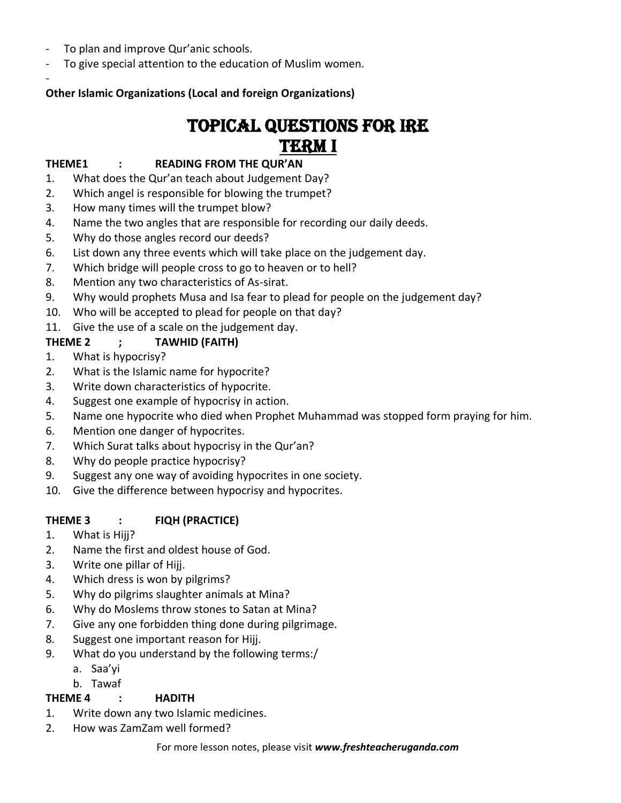- To plan and improve Qur'anic schools.

-

To give special attention to the education of Muslim women.

## **Other Islamic Organizations (Local and foreign Organizations)**

## TOPICAL QUESTIONS FOR IRE TERM I

#### **THEME1 : READING FROM THE QUR'AN**

- 1. What does the Qur'an teach about Judgement Day?
- 2. Which angel is responsible for blowing the trumpet?
- 3. How many times will the trumpet blow?
- 4. Name the two angles that are responsible for recording our daily deeds.
- 5. Why do those angles record our deeds?
- 6. List down any three events which will take place on the judgement day.
- 7. Which bridge will people cross to go to heaven or to hell?
- 8. Mention any two characteristics of As-sirat.
- 9. Why would prophets Musa and Isa fear to plead for people on the judgement day?
- 10. Who will be accepted to plead for people on that day?
- 11. Give the use of a scale on the judgement day.

## **THEME 2 ; TAWHID (FAITH)**

- 1. What is hypocrisy?
- 2. What is the Islamic name for hypocrite?
- 3. Write down characteristics of hypocrite.
- 4. Suggest one example of hypocrisy in action.
- 5. Name one hypocrite who died when Prophet Muhammad was stopped form praying for him.
- 6. Mention one danger of hypocrites.
- 7. Which Surat talks about hypocrisy in the Qur'an?
- 8. Why do people practice hypocrisy?
- 9. Suggest any one way of avoiding hypocrites in one society.
- 10. Give the difference between hypocrisy and hypocrites.

## **THEME 3 : FIQH (PRACTICE)**

- 1. What is Hijj?
- 2. Name the first and oldest house of God.
- 3. Write one pillar of Hijj.
- 4. Which dress is won by pilgrims?
- 5. Why do pilgrims slaughter animals at Mina?
- 6. Why do Moslems throw stones to Satan at Mina?
- 7. Give any one forbidden thing done during pilgrimage.
- 8. Suggest one important reason for Hijj.
- 9. What do you understand by the following terms:/
	- a. Saa'yi
	- b. Tawaf

## **THEME 4 : HADITH**

- 1. Write down any two Islamic medicines.
- 2. How was ZamZam well formed?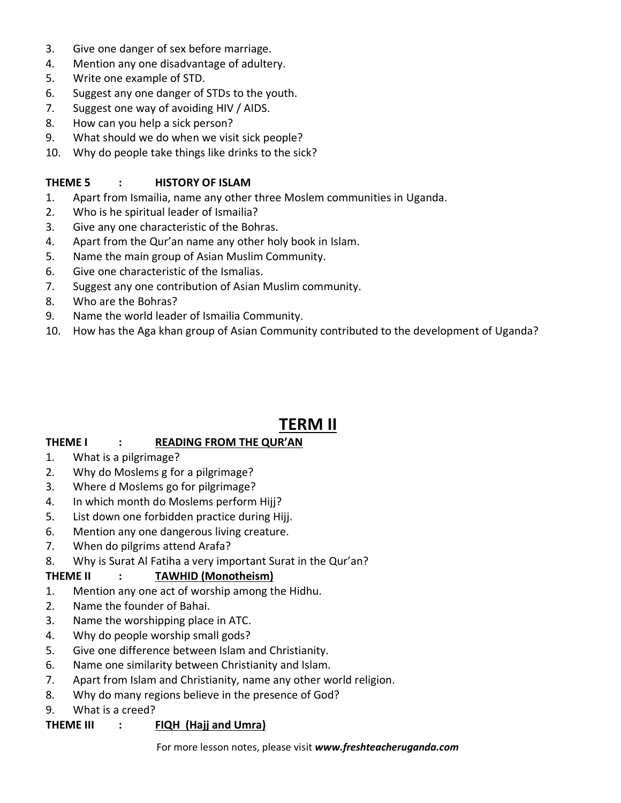- 3. Give one danger of sex before marriage.
- 4. Mention any one disadvantage of adultery.
- 5. Write one example of STD.
- 6. Suggest any one danger of STDs to the youth.
- 7. Suggest one way of avoiding HIV / AIDS.
- 8. How can you help a sick person?
- 9. What should we do when we visit sick people?
- 10. Why do people take things like drinks to the sick?

#### **THEME 5 : HISTORY OF ISLAM**

- 1. Apart from Ismailia, name any other three Moslem communities in Uganda.
- 2. Who is he spiritual leader of Ismailia?
- 3. Give any one characteristic of the Bohras.
- 4. Apart from the Qur'an name any other holy book in Islam.
- 5. Name the main group of Asian Muslim Community.
- 6. Give one characteristic of the Ismalias.
- 7. Suggest any one contribution of Asian Muslim community.
- 8. Who are the Bohras?
- 9. Name the world leader of Ismailia Community.
- 10. How has the Aga khan group of Asian Community contributed to the development of Uganda?

## **TERM II**

## **THEME I : READING FROM THE QUR'AN**

- 1. What is a pilgrimage?
- 2. Why do Moslems g for a pilgrimage?
- 3. Where d Moslems go for pilgrimage?
- 4. In which month do Moslems perform Hijj?
- 5. List down one forbidden practice during Hijj.
- 6. Mention any one dangerous living creature.
- 7. When do pilgrims attend Arafa?
- 8. Why is Surat Al Fatiha a very important Surat in the Qur'an?

## **THEME II : TAWHID (Monotheism)**

- 1. Mention any one act of worship among the Hidhu.
- 2. Name the founder of Bahai.
- 3. Name the worshipping place in ATC.
- 4. Why do people worship small gods?
- 5. Give one difference between Islam and Christianity.
- 6. Name one similarity between Christianity and Islam.
- 7. Apart from Islam and Christianity, name any other world religion.
- 8. Why do many regions believe in the presence of God?
- 9. What is a creed?

## **THEME III : FIQH (Hajj and Umra)**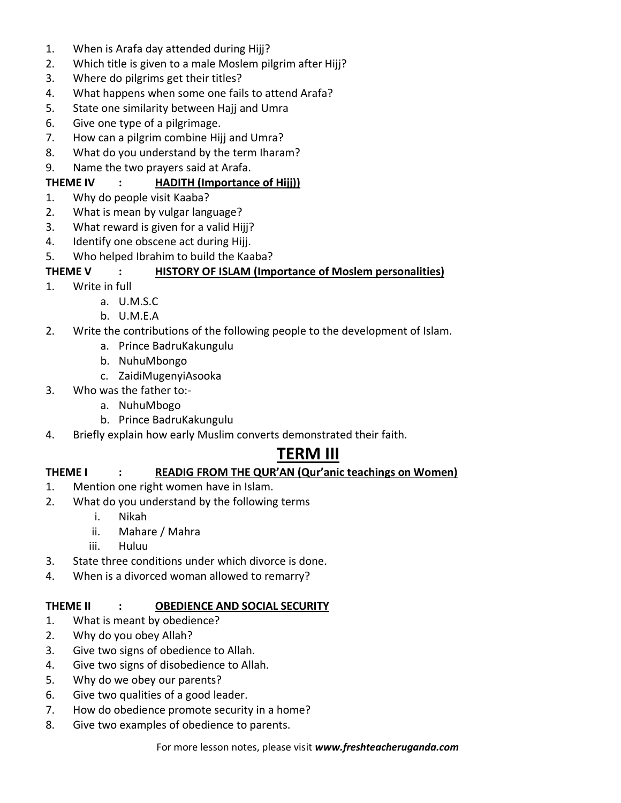- 1. When is Arafa day attended during Hijj?
- 2. Which title is given to a male Moslem pilgrim after Hijj?
- 3. Where do pilgrims get their titles?
- 4. What happens when some one fails to attend Arafa?
- 5. State one similarity between Hajj and Umra
- 6. Give one type of a pilgrimage.
- 7. How can a pilgrim combine Hijj and Umra?
- 8. What do you understand by the term Iharam?
- 9. Name the two prayers said at Arafa.

## **THEME IV : HADITH (Importance of Hijj))**

- 1. Why do people visit Kaaba?
- 2. What is mean by vulgar language?
- 3. What reward is given for a valid Hijj?
- 4. Identify one obscene act during Hijj.
- 5. Who helped Ibrahim to build the Kaaba?

## **THEME V : HISTORY OF ISLAM (Importance of Moslem personalities)**

- 1. Write in full
	- a. U.M.S.C
	- b. U.M.E.A
- 2. Write the contributions of the following people to the development of Islam.
	- a. Prince BadruKakungulu
	- b. NuhuMbongo
	- c. ZaidiMugenyiAsooka
- 3. Who was the father to:
	- a. NuhuMbogo
	- b. Prince BadruKakungulu
- 4. Briefly explain how early Muslim converts demonstrated their faith.

## **TERM III**

## **THEME I : READIG FROM THE QUR'AN (Qur'anic teachings on Women)**

- 1. Mention one right women have in Islam.
- 2. What do you understand by the following terms
	- i. Nikah
	- ii. Mahare / Mahra
	- iii. Huluu
- 3. State three conditions under which divorce is done.
- 4. When is a divorced woman allowed to remarry?

#### **THEME II : OBEDIENCE AND SOCIAL SECURITY**

- 1. What is meant by obedience?
- 2. Why do you obey Allah?
- 3. Give two signs of obedience to Allah.
- 4. Give two signs of disobedience to Allah.
- 5. Why do we obey our parents?
- 6. Give two qualities of a good leader.
- 7. How do obedience promote security in a home?
- 8. Give two examples of obedience to parents.